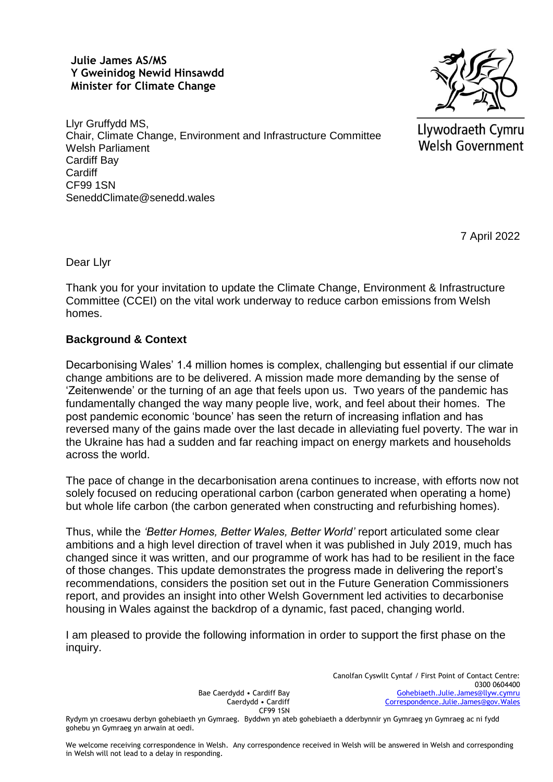### **Julie James AS/MS Y Gweinidog Newid Hinsawdd Minister for Climate Change**



Llyr Gruffydd MS, Chair, Climate Change, Environment and Infrastructure Committee Welsh Parliament Cardiff Bay **Cardiff** CF99 1SN SeneddClimate@senedd.wales

Llywodraeth Cymru **Welsh Government** 

7 April 2022

Dear Llyr

Thank you for your invitation to update the Climate Change, Environment & Infrastructure Committee (CCEI) on the vital work underway to reduce carbon emissions from Welsh homes.

## **Background & Context**

Decarbonising Wales' 1.4 million homes is complex, challenging but essential if our climate change ambitions are to be delivered. A mission made more demanding by the sense of 'Zeitenwende' or the turning of an age that feels upon us. Two years of the pandemic has fundamentally changed the way many people live, work, and feel about their homes. The post pandemic economic 'bounce' has seen the return of increasing inflation and has reversed many of the gains made over the last decade in alleviating fuel poverty. The war in the Ukraine has had a sudden and far reaching impact on energy markets and households across the world.

The pace of change in the decarbonisation arena continues to increase, with efforts now not solely focused on reducing operational carbon (carbon generated when operating a home) but whole life carbon (the carbon generated when constructing and refurbishing homes).

Thus, while the *'Better Homes, Better Wales, Better World'* report articulated some clear ambitions and a high level direction of travel when it was published in July 2019, much has changed since it was written, and our programme of work has had to be resilient in the face of those changes. This update demonstrates the progress made in delivering the report's recommendations, considers the position set out in the Future Generation Commissioners report, and provides an insight into other Welsh Government led activities to decarbonise housing in Wales against the backdrop of a dynamic, fast paced, changing world.

I am pleased to provide the following information in order to support the first phase on the inquiry.

> Bae Caerdydd • Cardiff Bay Caerdydd • Cardiff CF99 1SN

Canolfan Cyswllt Cyntaf / First Point of Contact Centre: 0300 0604400 [Gohebiaeth.Julie.James@llyw.cymru](mailto:Gohebiaeth.Julie.James@llyw.cymru) [Correspondence.Julie.James@gov.Wales](mailto:Correspondence.Julie.James@gov.Wales)

Rydym yn croesawu derbyn gohebiaeth yn Gymraeg. Byddwn yn ateb gohebiaeth a dderbynnir yn Gymraeg yn Gymraeg ac ni fydd gohebu yn Gymraeg yn arwain at oedi.

We welcome receiving correspondence in Welsh. Any correspondence received in Welsh will be answered in Welsh and corresponding in Welsh will not lead to a delay in responding.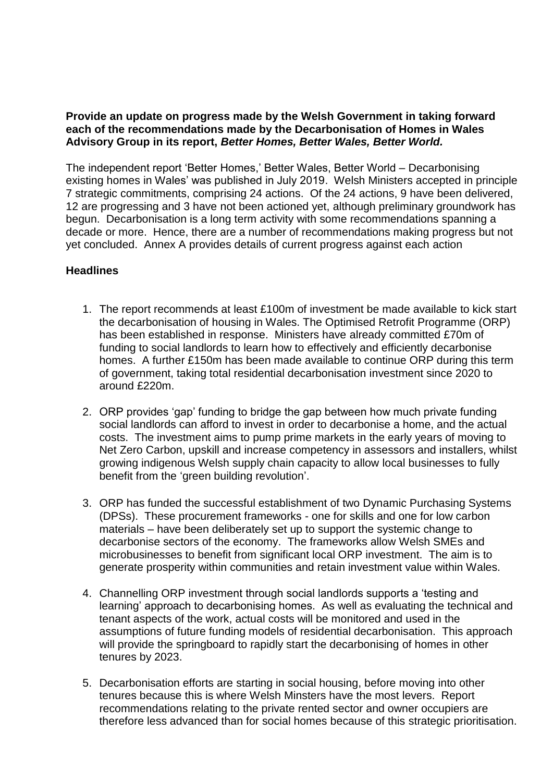#### **Provide an update on progress made by the Welsh Government in taking forward each of the recommendations made by the Decarbonisation of Homes in Wales Advisory Group in its report,** *Better Homes, Better Wales, Better World.*

The independent report 'Better Homes,' Better Wales, Better World – Decarbonising existing homes in Wales' was published in July 2019. Welsh Ministers accepted in principle 7 strategic commitments, comprising 24 actions. Of the 24 actions, 9 have been delivered, 12 are progressing and 3 have not been actioned yet, although preliminary groundwork has begun. Decarbonisation is a long term activity with some recommendations spanning a decade or more. Hence, there are a number of recommendations making progress but not yet concluded. Annex A provides details of current progress against each action

### **Headlines**

- 1. The report recommends at least £100m of investment be made available to kick start the decarbonisation of housing in Wales. The Optimised Retrofit Programme (ORP) has been established in response. Ministers have already committed £70m of funding to social landlords to learn how to effectively and efficiently decarbonise homes. A further £150m has been made available to continue ORP during this term of government, taking total residential decarbonisation investment since 2020 to around £220m.
- 2. ORP provides 'gap' funding to bridge the gap between how much private funding social landlords can afford to invest in order to decarbonise a home, and the actual costs. The investment aims to pump prime markets in the early years of moving to Net Zero Carbon, upskill and increase competency in assessors and installers, whilst growing indigenous Welsh supply chain capacity to allow local businesses to fully benefit from the 'green building revolution'.
- 3. ORP has funded the successful establishment of two Dynamic Purchasing Systems (DPSs). These procurement frameworks - one for skills and one for low carbon materials – have been deliberately set up to support the systemic change to decarbonise sectors of the economy. The frameworks allow Welsh SMEs and microbusinesses to benefit from significant local ORP investment. The aim is to generate prosperity within communities and retain investment value within Wales.
- 4. Channelling ORP investment through social landlords supports a 'testing and learning' approach to decarbonising homes. As well as evaluating the technical and tenant aspects of the work, actual costs will be monitored and used in the assumptions of future funding models of residential decarbonisation. This approach will provide the springboard to rapidly start the decarbonising of homes in other tenures by 2023.
- 5. Decarbonisation efforts are starting in social housing, before moving into other tenures because this is where Welsh Minsters have the most levers. Report recommendations relating to the private rented sector and owner occupiers are therefore less advanced than for social homes because of this strategic prioritisation.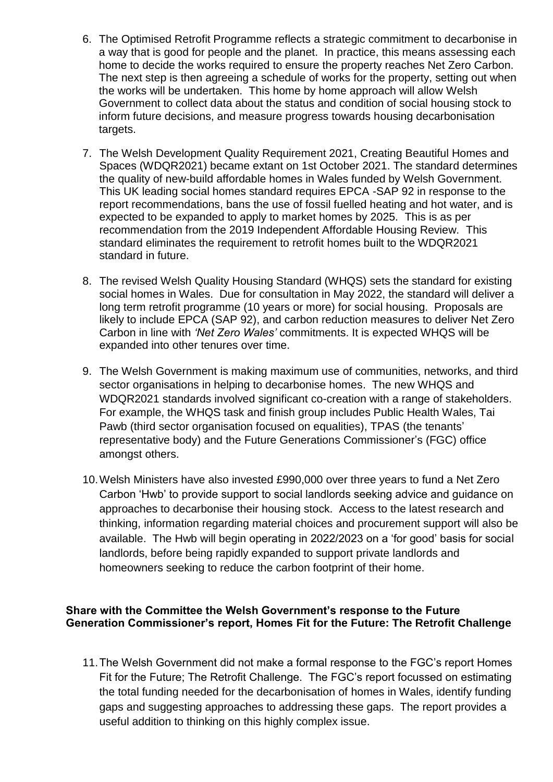- 6. The Optimised Retrofit Programme reflects a strategic commitment to decarbonise in a way that is good for people and the planet. In practice, this means assessing each home to decide the works required to ensure the property reaches Net Zero Carbon. The next step is then agreeing a schedule of works for the property, setting out when the works will be undertaken. This home by home approach will allow Welsh Government to collect data about the status and condition of social housing stock to inform future decisions, and measure progress towards housing decarbonisation targets.
- 7. The Welsh Development Quality Requirement 2021, Creating Beautiful Homes and Spaces (WDQR2021) became extant on 1st October 2021. The standard determines the quality of new-build affordable homes in Wales funded by Welsh Government. This UK leading social homes standard requires EPCA -SAP 92 in response to the report recommendations, bans the use of fossil fuelled heating and hot water, and is expected to be expanded to apply to market homes by 2025. This is as per recommendation from the 2019 Independent Affordable Housing Review. This standard eliminates the requirement to retrofit homes built to the WDQR2021 standard in future.
- 8. The revised Welsh Quality Housing Standard (WHQS) sets the standard for existing social homes in Wales. Due for consultation in May 2022, the standard will deliver a long term retrofit programme (10 years or more) for social housing. Proposals are likely to include EPCA (SAP 92), and carbon reduction measures to deliver Net Zero Carbon in line with *'Net Zero Wales'* commitments. It is expected WHQS will be expanded into other tenures over time.
- 9. The Welsh Government is making maximum use of communities, networks, and third sector organisations in helping to decarbonise homes. The new WHQS and WDQR2021 standards involved significant co-creation with a range of stakeholders. For example, the WHQS task and finish group includes Public Health Wales, Tai Pawb (third sector organisation focused on equalities), TPAS (the tenants' representative body) and the Future Generations Commissioner's (FGC) office amongst others.
- 10.Welsh Ministers have also invested £990,000 over three years to fund a Net Zero Carbon 'Hwb' to provide support to social landlords seeking advice and guidance on approaches to decarbonise their housing stock. Access to the latest research and thinking, information regarding material choices and procurement support will also be available. The Hwb will begin operating in 2022/2023 on a 'for good' basis for social landlords, before being rapidly expanded to support private landlords and homeowners seeking to reduce the carbon footprint of their home.

### **Share with the Committee the Welsh Government's response to the Future Generation Commissioner's report, Homes Fit for the Future: The Retrofit Challenge**

11.The Welsh Government did not make a formal response to the FGC's report Homes Fit for the Future; The Retrofit Challenge. The FGC's report focussed on estimating the total funding needed for the decarbonisation of homes in Wales, identify funding gaps and suggesting approaches to addressing these gaps. The report provides a useful addition to thinking on this highly complex issue.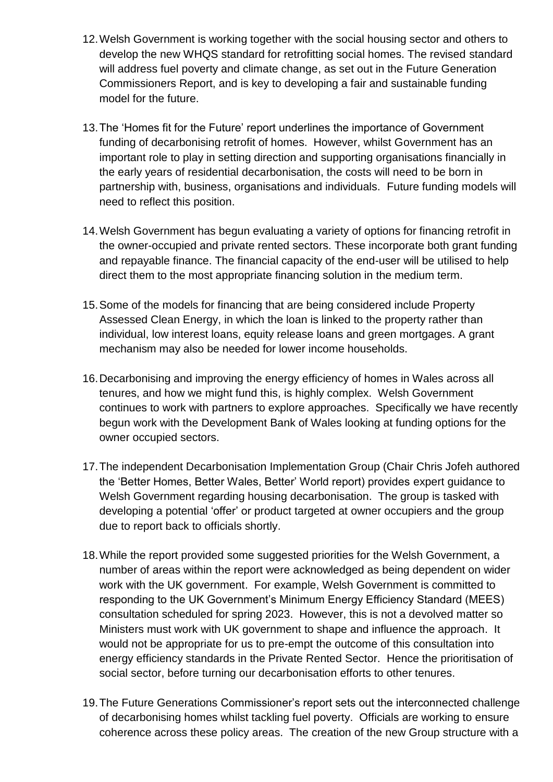- 12.Welsh Government is working together with the social housing sector and others to develop the new WHQS standard for retrofitting social homes. The revised standard will address fuel poverty and climate change, as set out in the Future Generation Commissioners Report, and is key to developing a fair and sustainable funding model for the future.
- 13.The 'Homes fit for the Future' report underlines the importance of Government funding of decarbonising retrofit of homes. However, whilst Government has an important role to play in setting direction and supporting organisations financially in the early years of residential decarbonisation, the costs will need to be born in partnership with, business, organisations and individuals. Future funding models will need to reflect this position.
- 14.Welsh Government has begun evaluating a variety of options for financing retrofit in the owner-occupied and private rented sectors. These incorporate both grant funding and repayable finance. The financial capacity of the end-user will be utilised to help direct them to the most appropriate financing solution in the medium term.
- 15.Some of the models for financing that are being considered include Property Assessed Clean Energy, in which the loan is linked to the property rather than individual, low interest loans, equity release loans and green mortgages. A grant mechanism may also be needed for lower income households.
- 16.Decarbonising and improving the energy efficiency of homes in Wales across all tenures, and how we might fund this, is highly complex. Welsh Government continues to work with partners to explore approaches. Specifically we have recently begun work with the Development Bank of Wales looking at funding options for the owner occupied sectors.
- 17.The independent Decarbonisation Implementation Group (Chair Chris Jofeh authored the 'Better Homes, Better Wales, Better' World report) provides expert guidance to Welsh Government regarding housing decarbonisation. The group is tasked with developing a potential 'offer' or product targeted at owner occupiers and the group due to report back to officials shortly.
- 18.While the report provided some suggested priorities for the Welsh Government, a number of areas within the report were acknowledged as being dependent on wider work with the UK government. For example, Welsh Government is committed to responding to the UK Government's Minimum Energy Efficiency Standard (MEES) consultation scheduled for spring 2023. However, this is not a devolved matter so Ministers must work with UK government to shape and influence the approach. It would not be appropriate for us to pre-empt the outcome of this consultation into energy efficiency standards in the Private Rented Sector. Hence the prioritisation of social sector, before turning our decarbonisation efforts to other tenures.
- 19.The Future Generations Commissioner's report sets out the interconnected challenge of decarbonising homes whilst tackling fuel poverty. Officials are working to ensure coherence across these policy areas. The creation of the new Group structure with a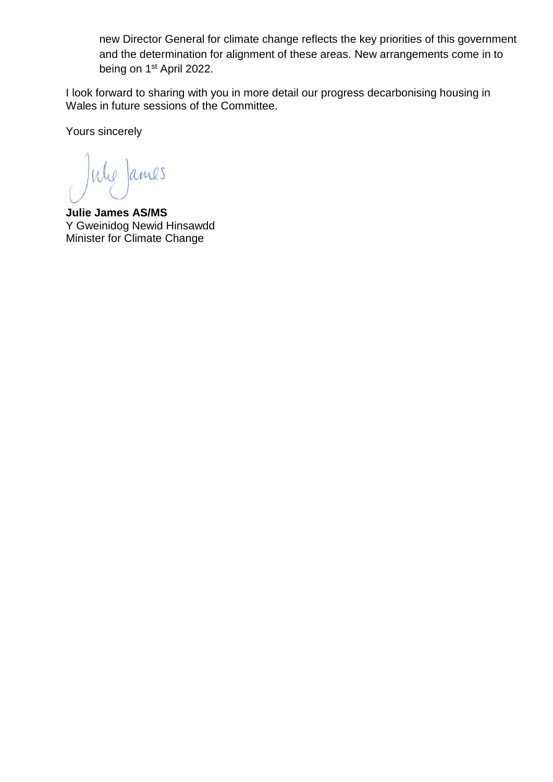new Director General for climate change reflects the key priorities of this government and the determination for alignment of these areas. New arrangements come in to being on 1<sup>st</sup> April 2022.

I look forward to sharing with you in more detail our progress decarbonising housing in Wales in future sessions of the Committee.

Yours sincerely

Whe James

**Julie James AS/MS** Y Gweinidog Newid Hinsawdd Minister for Climate Change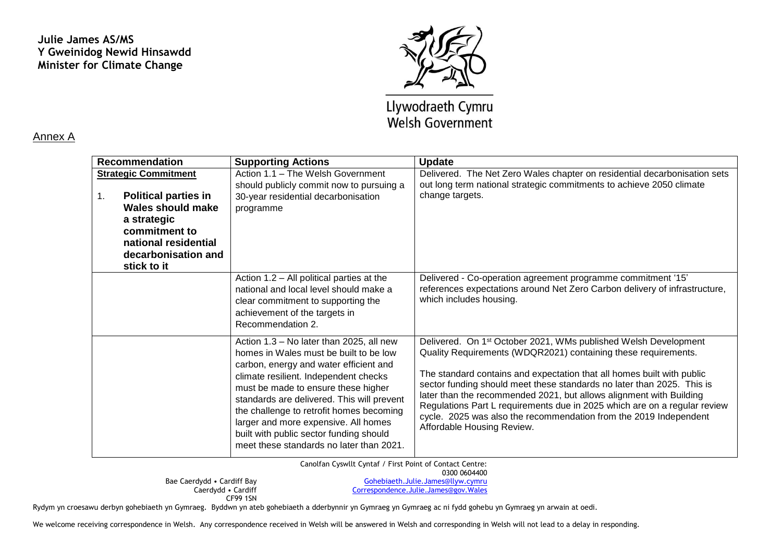## **Julie James AS/MS Y Gweinidog Newid Hinsawdd Minister for Climate Change**



# Llywodraeth Cymru **Welsh Government**

#### Annex A

| <b>Recommendation</b>             | <b>Supporting Actions</b>                                                                                                                                                                                                                                                                                                                                                                                                             | <b>Update</b>                                                                                                                                                                                                                                                                                                                                                                                                                                                                                                                                            |
|-----------------------------------|---------------------------------------------------------------------------------------------------------------------------------------------------------------------------------------------------------------------------------------------------------------------------------------------------------------------------------------------------------------------------------------------------------------------------------------|----------------------------------------------------------------------------------------------------------------------------------------------------------------------------------------------------------------------------------------------------------------------------------------------------------------------------------------------------------------------------------------------------------------------------------------------------------------------------------------------------------------------------------------------------------|
| <b>Strategic Commitment</b>       | Action 1.1 - The Welsh Government                                                                                                                                                                                                                                                                                                                                                                                                     | Delivered. The Net Zero Wales chapter on residential decarbonisation sets                                                                                                                                                                                                                                                                                                                                                                                                                                                                                |
|                                   | should publicly commit now to pursuing a                                                                                                                                                                                                                                                                                                                                                                                              | out long term national strategic commitments to achieve 2050 climate                                                                                                                                                                                                                                                                                                                                                                                                                                                                                     |
| <b>Political parties in</b><br>1. | 30-year residential decarbonisation                                                                                                                                                                                                                                                                                                                                                                                                   | change targets.                                                                                                                                                                                                                                                                                                                                                                                                                                                                                                                                          |
| <b>Wales should make</b>          | programme                                                                                                                                                                                                                                                                                                                                                                                                                             |                                                                                                                                                                                                                                                                                                                                                                                                                                                                                                                                                          |
| a strategic                       |                                                                                                                                                                                                                                                                                                                                                                                                                                       |                                                                                                                                                                                                                                                                                                                                                                                                                                                                                                                                                          |
| commitment to                     |                                                                                                                                                                                                                                                                                                                                                                                                                                       |                                                                                                                                                                                                                                                                                                                                                                                                                                                                                                                                                          |
| national residential              |                                                                                                                                                                                                                                                                                                                                                                                                                                       |                                                                                                                                                                                                                                                                                                                                                                                                                                                                                                                                                          |
| decarbonisation and               |                                                                                                                                                                                                                                                                                                                                                                                                                                       |                                                                                                                                                                                                                                                                                                                                                                                                                                                                                                                                                          |
| stick to it                       |                                                                                                                                                                                                                                                                                                                                                                                                                                       |                                                                                                                                                                                                                                                                                                                                                                                                                                                                                                                                                          |
|                                   | Action 1.2 - All political parties at the<br>national and local level should make a<br>clear commitment to supporting the<br>achievement of the targets in<br>Recommendation 2.                                                                                                                                                                                                                                                       | Delivered - Co-operation agreement programme commitment '15'<br>references expectations around Net Zero Carbon delivery of infrastructure,<br>which includes housing.                                                                                                                                                                                                                                                                                                                                                                                    |
|                                   | Action 1.3 - No later than 2025, all new<br>homes in Wales must be built to be low<br>carbon, energy and water efficient and<br>climate resilient. Independent checks<br>must be made to ensure these higher<br>standards are delivered. This will prevent<br>the challenge to retrofit homes becoming<br>larger and more expensive. All homes<br>built with public sector funding should<br>meet these standards no later than 2021. | Delivered. On 1 <sup>st</sup> October 2021, WMs published Welsh Development<br>Quality Requirements (WDQR2021) containing these requirements.<br>The standard contains and expectation that all homes built with public<br>sector funding should meet these standards no later than 2025. This is<br>later than the recommended 2021, but allows alignment with Building<br>Regulations Part L requirements due in 2025 which are on a regular review<br>cycle. 2025 was also the recommendation from the 2019 Independent<br>Affordable Housing Review. |

Canolfan Cyswllt Cyntaf / First Point of Contact Centre:

0300 0604400

Bae Caerdydd • Cardiff Bay Caerdydd • Cardiff CF99 1SN

[Gohebiaeth.Julie.James@llyw.cymru](mailto:Gohebiaeth.Julie.James@llyw.cymru)  [Correspondence.Julie.James@gov.Wales](mailto:Correspondence.Julie.James@gov.Wales)

Rydym yn croesawu derbyn gohebiaeth yn Gymraeg. Byddwn yn ateb gohebiaeth a dderbynnir yn Gymraeg yn Gymraeg ac ni fydd gohebu yn Gymraeg yn arwain at oedi.

We welcome receiving correspondence in Welsh. Any correspondence received in Welsh will be answered in Welsh and corresponding in Welsh will not lead to a delay in responding.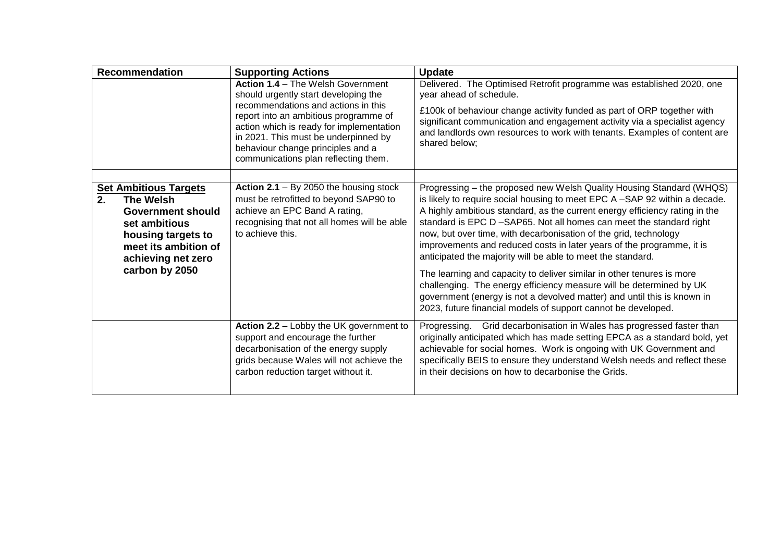|    | <b>Recommendation</b>                                                                                                                                                               | <b>Supporting Actions</b>                                                                                                                                                                                                                                                                                                         | <b>Update</b>                                                                                                                                                                                                                                                                                                                                                                                                                                                                                                                                                                                                                                                                                                                                                                                                    |
|----|-------------------------------------------------------------------------------------------------------------------------------------------------------------------------------------|-----------------------------------------------------------------------------------------------------------------------------------------------------------------------------------------------------------------------------------------------------------------------------------------------------------------------------------|------------------------------------------------------------------------------------------------------------------------------------------------------------------------------------------------------------------------------------------------------------------------------------------------------------------------------------------------------------------------------------------------------------------------------------------------------------------------------------------------------------------------------------------------------------------------------------------------------------------------------------------------------------------------------------------------------------------------------------------------------------------------------------------------------------------|
|    |                                                                                                                                                                                     | <b>Action 1.4 - The Welsh Government</b><br>should urgently start developing the<br>recommendations and actions in this<br>report into an ambitious programme of<br>action which is ready for implementation<br>in 2021. This must be underpinned by<br>behaviour change principles and a<br>communications plan reflecting them. | Delivered. The Optimised Retrofit programme was established 2020, one<br>year ahead of schedule.<br>£100k of behaviour change activity funded as part of ORP together with<br>significant communication and engagement activity via a specialist agency<br>and landlords own resources to work with tenants. Examples of content are<br>shared below:                                                                                                                                                                                                                                                                                                                                                                                                                                                            |
| 2. | <b>Set Ambitious Targets</b><br><b>The Welsh</b><br><b>Government should</b><br>set ambitious<br>housing targets to<br>meet its ambition of<br>achieving net zero<br>carbon by 2050 | Action $2.1 - By 2050$ the housing stock<br>must be retrofitted to beyond SAP90 to<br>achieve an EPC Band A rating,<br>recognising that not all homes will be able<br>to achieve this.                                                                                                                                            | Progressing - the proposed new Welsh Quality Housing Standard (WHQS)<br>is likely to require social housing to meet EPC A -SAP 92 within a decade.<br>A highly ambitious standard, as the current energy efficiency rating in the<br>standard is EPC D -SAP65. Not all homes can meet the standard right<br>now, but over time, with decarbonisation of the grid, technology<br>improvements and reduced costs in later years of the programme, it is<br>anticipated the majority will be able to meet the standard.<br>The learning and capacity to deliver similar in other tenures is more<br>challenging. The energy efficiency measure will be determined by UK<br>government (energy is not a devolved matter) and until this is known in<br>2023, future financial models of support cannot be developed. |
|    |                                                                                                                                                                                     | Action 2.2 - Lobby the UK government to<br>support and encourage the further<br>decarbonisation of the energy supply<br>grids because Wales will not achieve the<br>carbon reduction target without it.                                                                                                                           | Progressing. Grid decarbonisation in Wales has progressed faster than<br>originally anticipated which has made setting EPCA as a standard bold, yet<br>achievable for social homes. Work is ongoing with UK Government and<br>specifically BEIS to ensure they understand Welsh needs and reflect these<br>in their decisions on how to decarbonise the Grids.                                                                                                                                                                                                                                                                                                                                                                                                                                                   |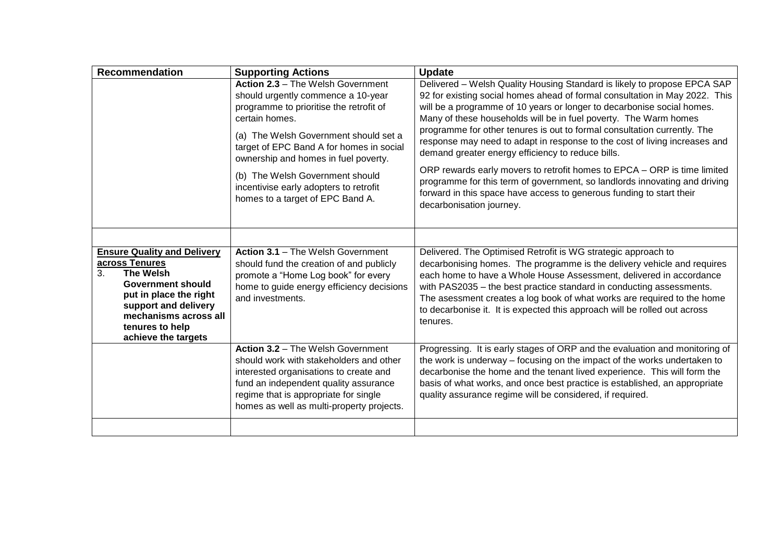| <b>Recommendation</b>                                                                                                                                                                                                           | <b>Supporting Actions</b>                                                                                                                                                                                                                                                                                                                                                          | <b>Update</b>                                                                                                                                                                                                                                                                                                                                                                                                                                                                                                                                                                                                                                                                                                                                                                      |
|---------------------------------------------------------------------------------------------------------------------------------------------------------------------------------------------------------------------------------|------------------------------------------------------------------------------------------------------------------------------------------------------------------------------------------------------------------------------------------------------------------------------------------------------------------------------------------------------------------------------------|------------------------------------------------------------------------------------------------------------------------------------------------------------------------------------------------------------------------------------------------------------------------------------------------------------------------------------------------------------------------------------------------------------------------------------------------------------------------------------------------------------------------------------------------------------------------------------------------------------------------------------------------------------------------------------------------------------------------------------------------------------------------------------|
|                                                                                                                                                                                                                                 | Action 2.3 - The Welsh Government<br>should urgently commence a 10-year<br>programme to prioritise the retrofit of<br>certain homes.<br>(a) The Welsh Government should set a<br>target of EPC Band A for homes in social<br>ownership and homes in fuel poverty.<br>(b) The Welsh Government should<br>incentivise early adopters to retrofit<br>homes to a target of EPC Band A. | Delivered - Welsh Quality Housing Standard is likely to propose EPCA SAP<br>92 for existing social homes ahead of formal consultation in May 2022. This<br>will be a programme of 10 years or longer to decarbonise social homes.<br>Many of these households will be in fuel poverty. The Warm homes<br>programme for other tenures is out to formal consultation currently. The<br>response may need to adapt in response to the cost of living increases and<br>demand greater energy efficiency to reduce bills.<br>ORP rewards early movers to retrofit homes to EPCA - ORP is time limited<br>programme for this term of government, so landlords innovating and driving<br>forward in this space have access to generous funding to start their<br>decarbonisation journey. |
|                                                                                                                                                                                                                                 |                                                                                                                                                                                                                                                                                                                                                                                    |                                                                                                                                                                                                                                                                                                                                                                                                                                                                                                                                                                                                                                                                                                                                                                                    |
| <b>Ensure Quality and Delivery</b><br>across Tenures<br><b>The Welsh</b><br>3.<br><b>Government should</b><br>put in place the right<br>support and delivery<br>mechanisms across all<br>tenures to help<br>achieve the targets | Action 3.1 - The Welsh Government<br>should fund the creation of and publicly<br>promote a "Home Log book" for every<br>home to guide energy efficiency decisions<br>and investments.                                                                                                                                                                                              | Delivered. The Optimised Retrofit is WG strategic approach to<br>decarbonising homes. The programme is the delivery vehicle and requires<br>each home to have a Whole House Assessment, delivered in accordance<br>with PAS2035 - the best practice standard in conducting assessments.<br>The asessment creates a log book of what works are required to the home<br>to decarbonise it. It is expected this approach will be rolled out across<br>tenures.                                                                                                                                                                                                                                                                                                                        |
|                                                                                                                                                                                                                                 | Action 3.2 - The Welsh Government<br>should work with stakeholders and other<br>interested organisations to create and<br>fund an independent quality assurance<br>regime that is appropriate for single<br>homes as well as multi-property projects.                                                                                                                              | Progressing. It is early stages of ORP and the evaluation and monitoring of<br>the work is underway – focusing on the impact of the works undertaken to<br>decarbonise the home and the tenant lived experience. This will form the<br>basis of what works, and once best practice is established, an appropriate<br>quality assurance regime will be considered, if required.                                                                                                                                                                                                                                                                                                                                                                                                     |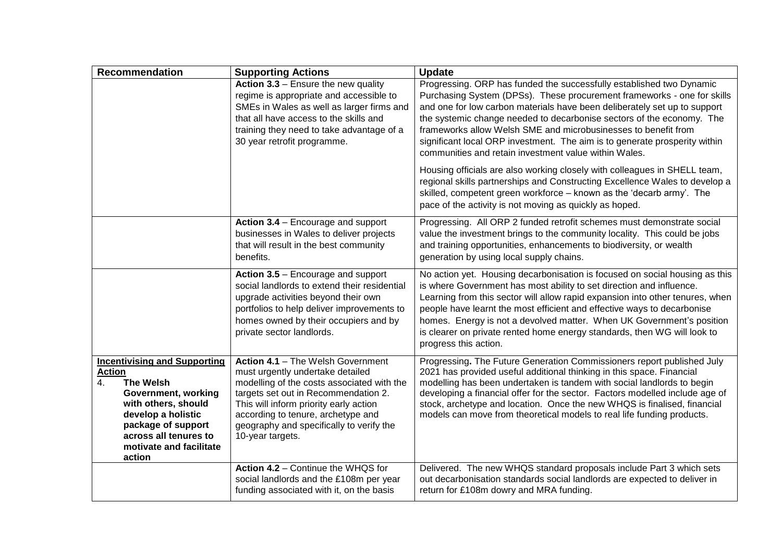| <b>Recommendation</b>                                                                                                                                                                                                                  | <b>Supporting Actions</b>                                                                                                                                                                                                                                                                                   | <b>Update</b>                                                                                                                                                                                                                                                                                                                                                                                                                                                                                                  |
|----------------------------------------------------------------------------------------------------------------------------------------------------------------------------------------------------------------------------------------|-------------------------------------------------------------------------------------------------------------------------------------------------------------------------------------------------------------------------------------------------------------------------------------------------------------|----------------------------------------------------------------------------------------------------------------------------------------------------------------------------------------------------------------------------------------------------------------------------------------------------------------------------------------------------------------------------------------------------------------------------------------------------------------------------------------------------------------|
|                                                                                                                                                                                                                                        | Action 3.3 - Ensure the new quality<br>regime is appropriate and accessible to<br>SMEs in Wales as well as larger firms and<br>that all have access to the skills and<br>training they need to take advantage of a<br>30 year retrofit programme.                                                           | Progressing. ORP has funded the successfully established two Dynamic<br>Purchasing System (DPSs). These procurement frameworks - one for skills<br>and one for low carbon materials have been deliberately set up to support<br>the systemic change needed to decarbonise sectors of the economy. The<br>frameworks allow Welsh SME and microbusinesses to benefit from<br>significant local ORP investment. The aim is to generate prosperity within<br>communities and retain investment value within Wales. |
|                                                                                                                                                                                                                                        |                                                                                                                                                                                                                                                                                                             | Housing officials are also working closely with colleagues in SHELL team,<br>regional skills partnerships and Constructing Excellence Wales to develop a<br>skilled, competent green workforce - known as the 'decarb army'. The<br>pace of the activity is not moving as quickly as hoped.                                                                                                                                                                                                                    |
|                                                                                                                                                                                                                                        | Action 3.4 - Encourage and support<br>businesses in Wales to deliver projects<br>that will result in the best community<br>benefits.                                                                                                                                                                        | Progressing. All ORP 2 funded retrofit schemes must demonstrate social<br>value the investment brings to the community locality. This could be jobs<br>and training opportunities, enhancements to biodiversity, or wealth<br>generation by using local supply chains.                                                                                                                                                                                                                                         |
|                                                                                                                                                                                                                                        | Action 3.5 - Encourage and support<br>social landlords to extend their residential<br>upgrade activities beyond their own<br>portfolios to help deliver improvements to<br>homes owned by their occupiers and by<br>private sector landlords.                                                               | No action yet. Housing decarbonisation is focused on social housing as this<br>is where Government has most ability to set direction and influence.<br>Learning from this sector will allow rapid expansion into other tenures, when<br>people have learnt the most efficient and effective ways to decarbonise<br>homes. Energy is not a devolved matter. When UK Government's position<br>is clearer on private rented home energy standards, then WG will look to<br>progress this action.                  |
| <b>Incentivising and Supporting</b><br><b>Action</b><br><b>The Welsh</b><br>4.<br>Government, working<br>with others, should<br>develop a holistic<br>package of support<br>across all tenures to<br>motivate and facilitate<br>action | Action 4.1 - The Welsh Government<br>must urgently undertake detailed<br>modelling of the costs associated with the<br>targets set out in Recommendation 2.<br>This will inform priority early action<br>according to tenure, archetype and<br>geography and specifically to verify the<br>10-year targets. | Progressing. The Future Generation Commissioners report published July<br>2021 has provided useful additional thinking in this space. Financial<br>modelling has been undertaken is tandem with social landlords to begin<br>developing a financial offer for the sector. Factors modelled include age of<br>stock, archetype and location. Once the new WHQS is finalised, financial<br>models can move from theoretical models to real life funding products.                                                |
|                                                                                                                                                                                                                                        | Action 4.2 - Continue the WHQS for<br>social landlords and the £108m per year<br>funding associated with it, on the basis                                                                                                                                                                                   | Delivered. The new WHQS standard proposals include Part 3 which sets<br>out decarbonisation standards social landlords are expected to deliver in<br>return for £108m dowry and MRA funding.                                                                                                                                                                                                                                                                                                                   |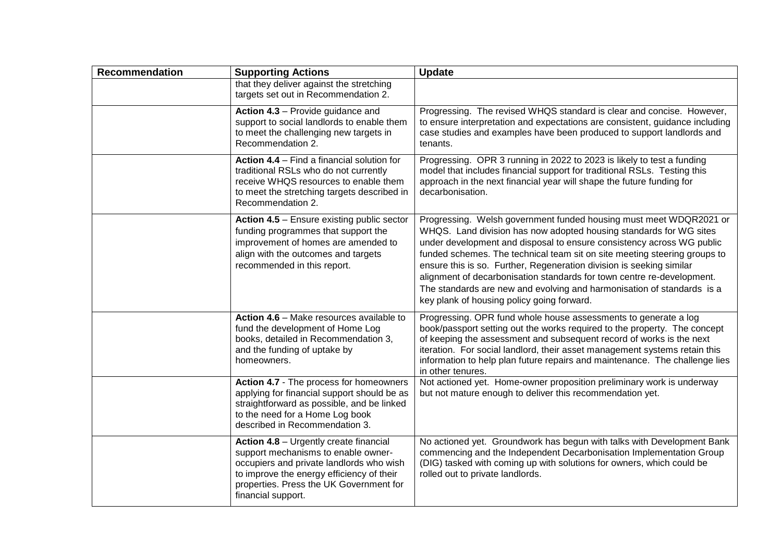| <b>Recommendation</b> | <b>Supporting Actions</b>                                                                                                                                                                                                               | <b>Update</b>                                                                                                                                                                                                                                                                                                                                                                                                                                                                                                                                                            |
|-----------------------|-----------------------------------------------------------------------------------------------------------------------------------------------------------------------------------------------------------------------------------------|--------------------------------------------------------------------------------------------------------------------------------------------------------------------------------------------------------------------------------------------------------------------------------------------------------------------------------------------------------------------------------------------------------------------------------------------------------------------------------------------------------------------------------------------------------------------------|
|                       | that they deliver against the stretching<br>targets set out in Recommendation 2.                                                                                                                                                        |                                                                                                                                                                                                                                                                                                                                                                                                                                                                                                                                                                          |
|                       | Action 4.3 - Provide guidance and<br>support to social landlords to enable them<br>to meet the challenging new targets in<br>Recommendation 2.                                                                                          | Progressing. The revised WHQS standard is clear and concise. However,<br>to ensure interpretation and expectations are consistent, guidance including<br>case studies and examples have been produced to support landlords and<br>tenants.                                                                                                                                                                                                                                                                                                                               |
|                       | Action 4.4 - Find a financial solution for<br>traditional RSLs who do not currently<br>receive WHQS resources to enable them<br>to meet the stretching targets described in<br>Recommendation 2.                                        | Progressing. OPR 3 running in 2022 to 2023 is likely to test a funding<br>model that includes financial support for traditional RSLs. Testing this<br>approach in the next financial year will shape the future funding for<br>decarbonisation.                                                                                                                                                                                                                                                                                                                          |
|                       | Action 4.5 - Ensure existing public sector<br>funding programmes that support the<br>improvement of homes are amended to<br>align with the outcomes and targets<br>recommended in this report.                                          | Progressing. Welsh government funded housing must meet WDQR2021 or<br>WHQS. Land division has now adopted housing standards for WG sites<br>under development and disposal to ensure consistency across WG public<br>funded schemes. The technical team sit on site meeting steering groups to<br>ensure this is so. Further, Regeneration division is seeking similar<br>alignment of decarbonisation standards for town centre re-development.<br>The standards are new and evolving and harmonisation of standards is a<br>key plank of housing policy going forward. |
|                       | Action 4.6 - Make resources available to<br>fund the development of Home Log<br>books, detailed in Recommendation 3,<br>and the funding of uptake by<br>homeowners.                                                                     | Progressing. OPR fund whole house assessments to generate a log<br>book/passport setting out the works required to the property. The concept<br>of keeping the assessment and subsequent record of works is the next<br>iteration. For social landlord, their asset management systems retain this<br>information to help plan future repairs and maintenance. The challenge lies<br>in other tenures.                                                                                                                                                                   |
|                       | Action 4.7 - The process for homeowners<br>applying for financial support should be as<br>straightforward as possible, and be linked<br>to the need for a Home Log book<br>described in Recommendation 3.                               | Not actioned yet. Home-owner proposition preliminary work is underway<br>but not mature enough to deliver this recommendation yet.                                                                                                                                                                                                                                                                                                                                                                                                                                       |
|                       | Action 4.8 - Urgently create financial<br>support mechanisms to enable owner-<br>occupiers and private landlords who wish<br>to improve the energy efficiency of their<br>properties. Press the UK Government for<br>financial support. | No actioned yet. Groundwork has begun with talks with Development Bank<br>commencing and the Independent Decarbonisation Implementation Group<br>(DIG) tasked with coming up with solutions for owners, which could be<br>rolled out to private landlords.                                                                                                                                                                                                                                                                                                               |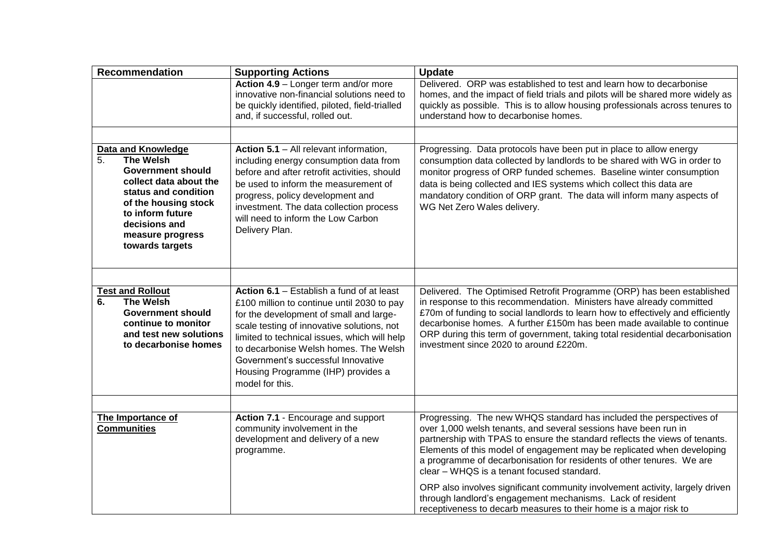| <b>Recommendation</b>                                                                                                                                                                                                                 | <b>Supporting Actions</b>                                                                                                                                                                                                                                                                                                                                                | <b>Update</b>                                                                                                                                                                                                                                                                                                                                                                                                                                                                                                                                                                                                                             |
|---------------------------------------------------------------------------------------------------------------------------------------------------------------------------------------------------------------------------------------|--------------------------------------------------------------------------------------------------------------------------------------------------------------------------------------------------------------------------------------------------------------------------------------------------------------------------------------------------------------------------|-------------------------------------------------------------------------------------------------------------------------------------------------------------------------------------------------------------------------------------------------------------------------------------------------------------------------------------------------------------------------------------------------------------------------------------------------------------------------------------------------------------------------------------------------------------------------------------------------------------------------------------------|
|                                                                                                                                                                                                                                       | Action 4.9 - Longer term and/or more<br>innovative non-financial solutions need to<br>be quickly identified, piloted, field-trialled<br>and, if successful, rolled out.                                                                                                                                                                                                  | Delivered. ORP was established to test and learn how to decarbonise<br>homes, and the impact of field trials and pilots will be shared more widely as<br>quickly as possible. This is to allow housing professionals across tenures to<br>understand how to decarbonise homes.                                                                                                                                                                                                                                                                                                                                                            |
|                                                                                                                                                                                                                                       |                                                                                                                                                                                                                                                                                                                                                                          |                                                                                                                                                                                                                                                                                                                                                                                                                                                                                                                                                                                                                                           |
| <b>Data and Knowledge</b><br>5.<br><b>The Welsh</b><br><b>Government should</b><br>collect data about the<br>status and condition<br>of the housing stock<br>to inform future<br>decisions and<br>measure progress<br>towards targets | Action 5.1 - All relevant information,<br>including energy consumption data from<br>before and after retrofit activities, should<br>be used to inform the measurement of<br>progress, policy development and<br>investment. The data collection process<br>will need to inform the Low Carbon<br>Delivery Plan.                                                          | Progressing. Data protocols have been put in place to allow energy<br>consumption data collected by landlords to be shared with WG in order to<br>monitor progress of ORP funded schemes. Baseline winter consumption<br>data is being collected and IES systems which collect this data are<br>mandatory condition of ORP grant. The data will inform many aspects of<br>WG Net Zero Wales delivery.                                                                                                                                                                                                                                     |
|                                                                                                                                                                                                                                       |                                                                                                                                                                                                                                                                                                                                                                          |                                                                                                                                                                                                                                                                                                                                                                                                                                                                                                                                                                                                                                           |
| <b>Test and Rollout</b><br><b>The Welsh</b><br>6.<br><b>Government should</b><br>continue to monitor<br>and test new solutions<br>to decarbonise homes                                                                                | Action 6.1 - Establish a fund of at least<br>£100 million to continue until 2030 to pay<br>for the development of small and large-<br>scale testing of innovative solutions, not<br>limited to technical issues, which will help<br>to decarbonise Welsh homes. The Welsh<br>Government's successful Innovative<br>Housing Programme (IHP) provides a<br>model for this. | Delivered. The Optimised Retrofit Programme (ORP) has been established<br>in response to this recommendation. Ministers have already committed<br>£70m of funding to social landlords to learn how to effectively and efficiently<br>decarbonise homes. A further £150m has been made available to continue<br>ORP during this term of government, taking total residential decarbonisation<br>investment since 2020 to around £220m.                                                                                                                                                                                                     |
|                                                                                                                                                                                                                                       |                                                                                                                                                                                                                                                                                                                                                                          |                                                                                                                                                                                                                                                                                                                                                                                                                                                                                                                                                                                                                                           |
| The Importance of<br><b>Communities</b>                                                                                                                                                                                               | Action 7.1 - Encourage and support<br>community involvement in the<br>development and delivery of a new<br>programme.                                                                                                                                                                                                                                                    | Progressing. The new WHQS standard has included the perspectives of<br>over 1,000 welsh tenants, and several sessions have been run in<br>partnership with TPAS to ensure the standard reflects the views of tenants.<br>Elements of this model of engagement may be replicated when developing<br>a programme of decarbonisation for residents of other tenures. We are<br>clear - WHQS is a tenant focused standard.<br>ORP also involves significant community involvement activity, largely driven<br>through landlord's engagement mechanisms. Lack of resident<br>receptiveness to decarb measures to their home is a major risk to |